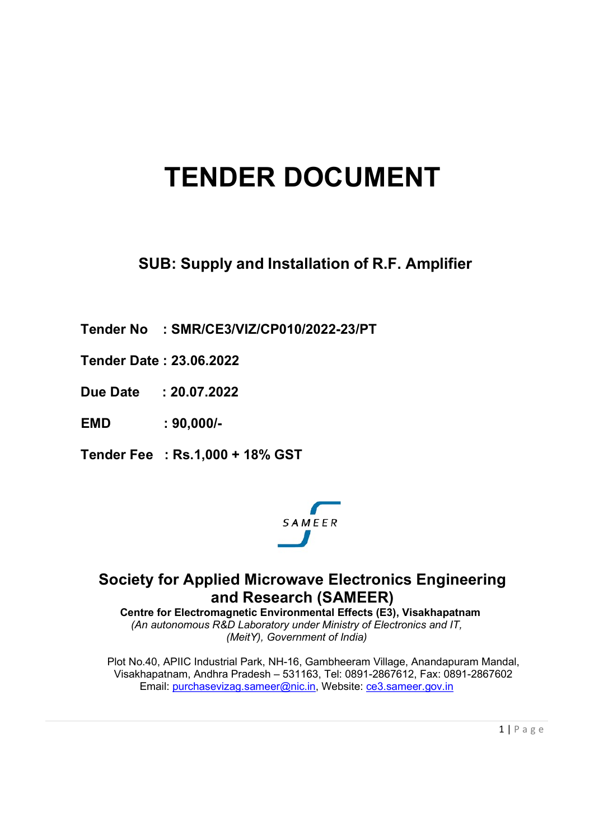# TENDER DOCUMENT

SUB: Supply and Installation of R.F. Amplifier

Tender No : SMR/CE3/VIZ/CP010/2022-23/PT

- Tender Date : 23.06.2022
- Due Date : 20.07.2022
- EMD : 90,000/-
- Tender Fee : Rs.1,000 + 18% GST



# Society for Applied Microwave Electronics Engineering and Research (SAMEER)

Centre for Electromagnetic Environmental Effects (E3), Visakhapatnam (An autonomous R&D Laboratory under Ministry of Electronics and IT, (MeitY), Government of India)

Plot No.40, APIIC Industrial Park, NH-16, Gambheeram Village, Anandapuram Mandal, Visakhapatnam, Andhra Pradesh – 531163, Tel: 0891-2867612, Fax: 0891-2867602 Email: purchasevizag.sameer@nic.in, Website: ce3.sameer.gov.in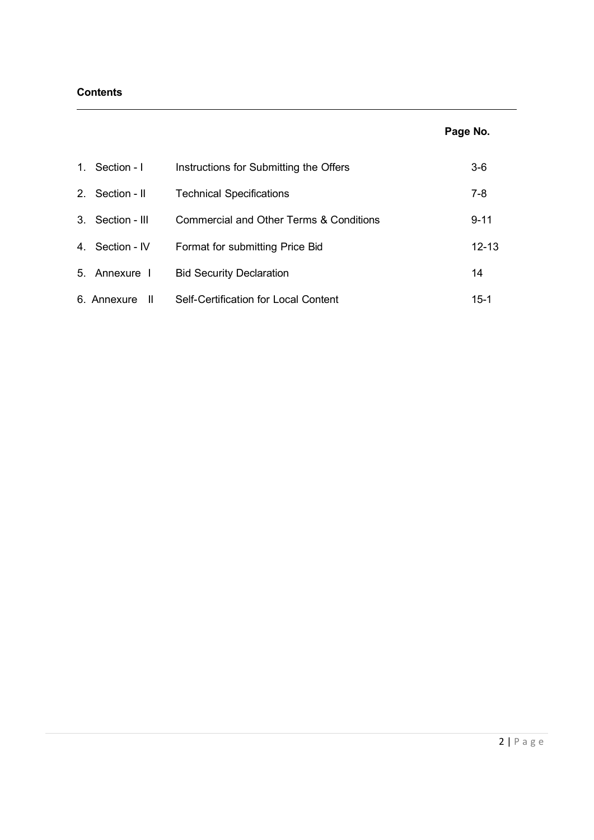## **Contents**

## Page No.

| 1. Section - I      | Instructions for Submitting the Offers  | $3-6$     |
|---------------------|-----------------------------------------|-----------|
| 2. Section - II     | <b>Technical Specifications</b>         | $7 - 8$   |
| 3. Section - III    | Commercial and Other Terms & Conditions | $9 - 11$  |
| 4. Section - IV     | Format for submitting Price Bid         | $12 - 13$ |
| 5. Annexure I       | <b>Bid Security Declaration</b>         | 14        |
| 6. Annexure<br>- 11 | Self-Certification for Local Content    | $15-1$    |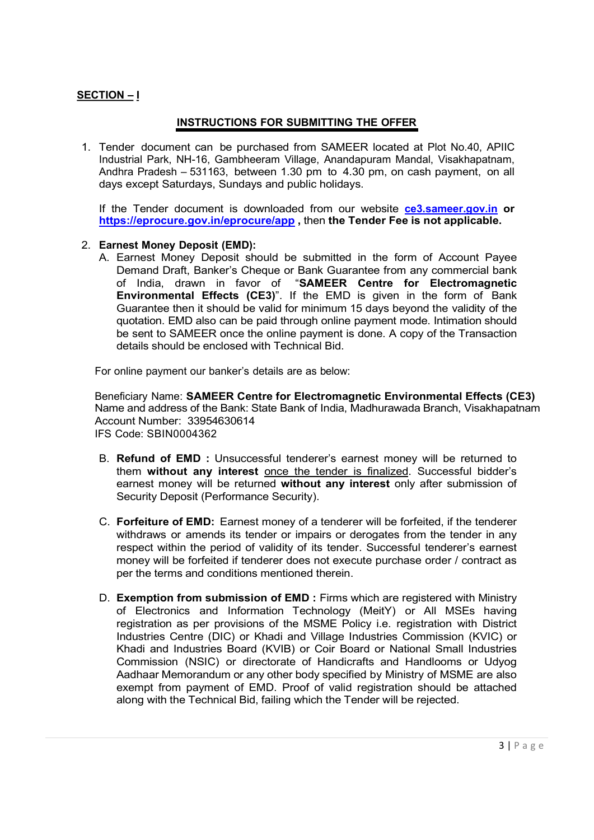## SECTION – I

## INSTRUCTIONS FOR SUBMITTING THE OFFER

1. Tender document can be purchased from SAMEER located at Plot No.40, APIIC Industrial Park, NH-16, Gambheeram Village, Anandapuram Mandal, Visakhapatnam, Andhra Pradesh – 531163, between 1.30 pm to 4.30 pm, on cash payment, on all days except Saturdays, Sundays and public holidays.

If the Tender document is downloaded from our website ce3.sameer.gov.in or https://eprocure.gov.in/eprocure/app , then the Tender Fee is not applicable.

#### 2. Earnest Money Deposit (EMD):

A. Earnest Money Deposit should be submitted in the form of Account Payee Demand Draft, Banker's Cheque or Bank Guarantee from any commercial bank of India, drawn in favor of "SAMEER Centre for Electromagnetic Environmental Effects (CE3)". If the EMD is given in the form of Bank Guarantee then it should be valid for minimum 15 days beyond the validity of the quotation. EMD also can be paid through online payment mode. Intimation should be sent to SAMEER once the online payment is done. A copy of the Transaction details should be enclosed with Technical Bid.

For online payment our banker's details are as below:

Beneficiary Name: SAMEER Centre for Electromagnetic Environmental Effects (CE3) Name and address of the Bank: State Bank of India, Madhurawada Branch, Visakhapatnam Account Number: 33954630614 IFS Code: SBIN0004362

- B. Refund of EMD : Unsuccessful tenderer's earnest money will be returned to them without any interest once the tender is finalized. Successful bidder's earnest money will be returned without any interest only after submission of Security Deposit (Performance Security).
- C. Forfeiture of EMD: Earnest money of a tenderer will be forfeited, if the tenderer withdraws or amends its tender or impairs or derogates from the tender in any respect within the period of validity of its tender. Successful tenderer's earnest money will be forfeited if tenderer does not execute purchase order / contract as per the terms and conditions mentioned therein.
- D. Exemption from submission of EMD : Firms which are registered with Ministry of Electronics and Information Technology (MeitY) or All MSEs having registration as per provisions of the MSME Policy i.e. registration with District Industries Centre (DIC) or Khadi and Village Industries Commission (KVIC) or Khadi and Industries Board (KVIB) or Coir Board or National Small Industries Commission (NSIC) or directorate of Handicrafts and Handlooms or Udyog Aadhaar Memorandum or any other body specified by Ministry of MSME are also exempt from payment of EMD. Proof of valid registration should be attached along with the Technical Bid, failing which the Tender will be rejected.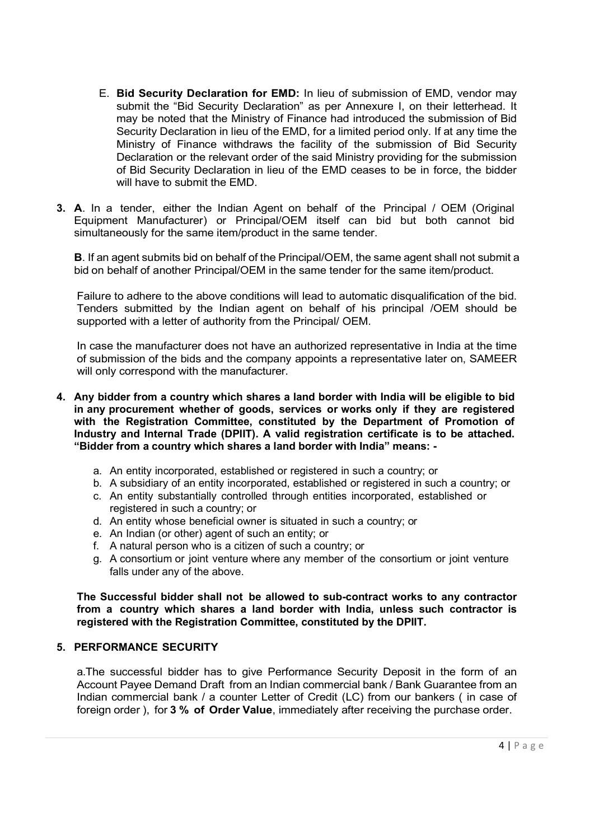- E. Bid Security Declaration for EMD: In lieu of submission of EMD, vendor may submit the "Bid Security Declaration" as per Annexure I, on their letterhead. It may be noted that the Ministry of Finance had introduced the submission of Bid Security Declaration in lieu of the EMD, for a limited period only. If at any time the Ministry of Finance withdraws the facility of the submission of Bid Security Declaration or the relevant order of the said Ministry providing for the submission of Bid Security Declaration in lieu of the EMD ceases to be in force, the bidder will have to submit the FMD.
- 3. A. In a tender, either the Indian Agent on behalf of the Principal / OEM (Original Equipment Manufacturer) or Principal/OEM itself can bid but both cannot bid simultaneously for the same item/product in the same tender.

**B.** If an agent submits bid on behalf of the Principal/OEM, the same agent shall not submit a bid on behalf of another Principal/OEM in the same tender for the same item/product.

Failure to adhere to the above conditions will lead to automatic disqualification of the bid. Tenders submitted by the Indian agent on behalf of his principal /OEM should be supported with a letter of authority from the Principal/ OEM.

In case the manufacturer does not have an authorized representative in India at the time of submission of the bids and the company appoints a representative later on, SAMEER will only correspond with the manufacturer.

- 4. Any bidder from a country which shares a land border with India will be eligible to bid in any procurement whether of goods, services or works only if they are registered with the Registration Committee, constituted by the Department of Promotion of Industry and Internal Trade (DPIIT). A valid registration certificate is to be attached. "Bidder from a country which shares a land border with India" means:
	- a. An entity incorporated, established or registered in such a country; or
	- b. A subsidiary of an entity incorporated, established or registered in such a country; or
	- c. An entity substantially controlled through entities incorporated, established or registered in such a country; or
	- d. An entity whose beneficial owner is situated in such a country; or
	- e. An Indian (or other) agent of such an entity; or
	- f. A natural person who is a citizen of such a country; or
	- g. A consortium or joint venture where any member of the consortium or joint venture falls under any of the above.

The Successful bidder shall not be allowed to sub-contract works to any contractor from a country which shares a land border with India, unless such contractor is registered with the Registration Committee, constituted by the DPIIT.

#### 5. PERFORMANCE SECURITY

a.The successful bidder has to give Performance Security Deposit in the form of an Account Payee Demand Draft from an Indian commercial bank / Bank Guarantee from an Indian commercial bank / a counter Letter of Credit (LC) from our bankers ( in case of foreign order ), for 3 % of Order Value, immediately after receiving the purchase order.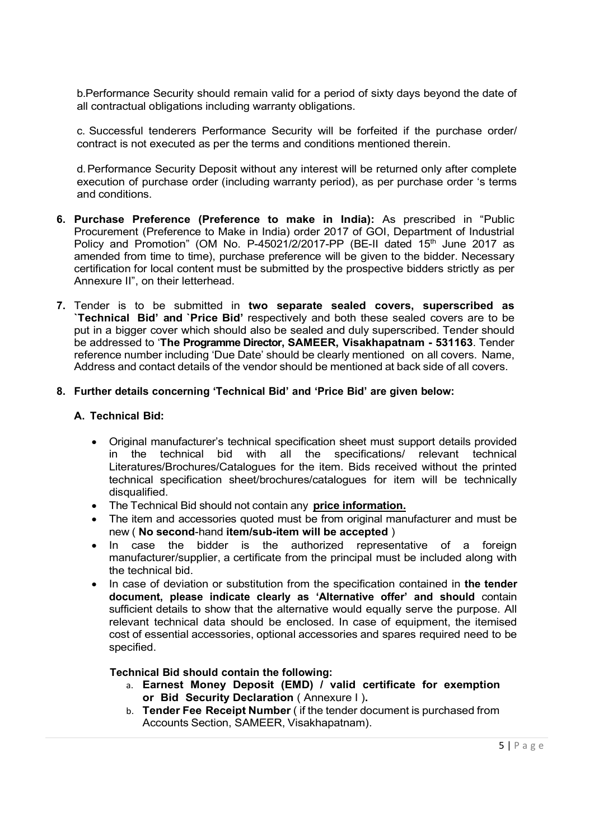b.Performance Security should remain valid for a period of sixty days beyond the date of all contractual obligations including warranty obligations.

c. Successful tenderers Performance Security will be forfeited if the purchase order/ contract is not executed as per the terms and conditions mentioned therein.

d. Performance Security Deposit without any interest will be returned only after complete execution of purchase order (including warranty period), as per purchase order 's terms and conditions.

- 6. Purchase Preference (Preference to make in India): As prescribed in "Public Procurement (Preference to Make in India) order 2017 of GOI, Department of Industrial Policy and Promotion" (OM No. P-45021/2/2017-PP (BE-II dated  $15<sup>th</sup>$  June 2017 as amended from time to time), purchase preference will be given to the bidder. Necessary certification for local content must be submitted by the prospective bidders strictly as per Annexure II", on their letterhead.
- 7. Tender is to be submitted in two separate sealed covers, superscribed as `Technical Bid' and `Price Bid' respectively and both these sealed covers are to be put in a bigger cover which should also be sealed and duly superscribed. Tender should be addressed to 'The Programme Director, SAMEER, Visakhapatnam - 531163. Tender reference number including 'Due Date' should be clearly mentioned on all covers. Name, Address and contact details of the vendor should be mentioned at back side of all covers.

### 8. Further details concerning 'Technical Bid' and 'Price Bid' are given below:

### A. Technical Bid:

- Original manufacturer's technical specification sheet must support details provided in the technical bid with all the specifications/ relevant technical Literatures/Brochures/Catalogues for the item. Bids received without the printed technical specification sheet/brochures/catalogues for item will be technically disqualified.
- The Technical Bid should not contain any price information.
- The item and accessories quoted must be from original manufacturer and must be new ( No second-hand item/sub-item will be accepted )
- In case the bidder is the authorized representative of a foreign manufacturer/supplier, a certificate from the principal must be included along with the technical bid.
- In case of deviation or substitution from the specification contained in the tender document, please indicate clearly as 'Alternative offer' and should contain sufficient details to show that the alternative would equally serve the purpose. All relevant technical data should be enclosed. In case of equipment, the itemised cost of essential accessories, optional accessories and spares required need to be specified.

#### Technical Bid should contain the following:

- a. Earnest Money Deposit (EMD) / valid certificate for exemption or Bid Security Declaration ( Annexure I ).
- b. Tender Fee Receipt Number ( if the tender document is purchased from Accounts Section, SAMEER, Visakhapatnam).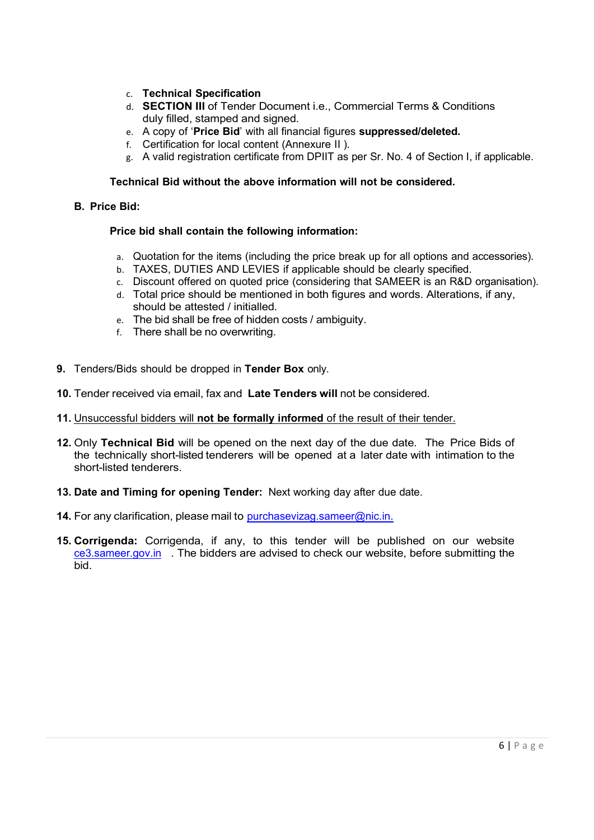- c. Technical Specification
- d. SECTION III of Tender Document i.e., Commercial Terms & Conditions duly filled, stamped and signed.
- e. A copy of 'Price Bid' with all financial figures suppressed/deleted.
- f. Certification for local content (Annexure II ).
- g. A valid registration certificate from DPIIT as per Sr. No. 4 of Section I, if applicable.

## Technical Bid without the above information will not be considered.

## B. Price Bid:

## Price bid shall contain the following information:

- a. Quotation for the items (including the price break up for all options and accessories).
- b. TAXES, DUTIES AND LEVIES if applicable should be clearly specified.
- c. Discount offered on quoted price (considering that SAMEER is an R&D organisation).
- d. Total price should be mentioned in both figures and words. Alterations, if any, should be attested / initialled.
- e. The bid shall be free of hidden costs / ambiguity.
- f. There shall be no overwriting.
- 9. Tenders/Bids should be dropped in Tender Box only.
- 10. Tender received via email, fax and Late Tenders will not be considered.
- 11. Unsuccessful bidders will not be formally informed of the result of their tender.
- 12. Only Technical Bid will be opened on the next day of the due date. The Price Bids of the technically short-listed tenderers will be opened at a later date with intimation to the short-listed tenderers.
- 13. Date and Timing for opening Tender: Next working day after due date.
- 14. For any clarification, please mail to purchasevizag.sameer@nic.in.
- 15. Corrigenda: Corrigenda, if any, to this tender will be published on our website ce3.sameer.gov.in . The bidders are advised to check our website, before submitting the bid.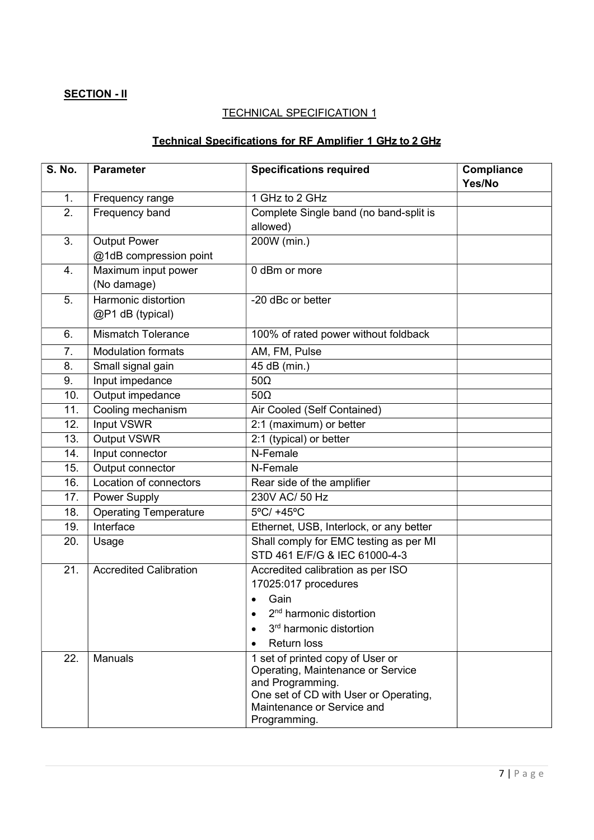## **SECTION - II**

## **TECHNICAL SPECIFICATION 1**

## Technical Specifications for RF Amplifier 1 GHz to 2 GHz

| <b>S. No.</b>    | <b>Parameter</b>              | <b>Specifications required</b>                                                                                                                                                   | Compliance<br>Yes/No |
|------------------|-------------------------------|----------------------------------------------------------------------------------------------------------------------------------------------------------------------------------|----------------------|
| 1.               | Frequency range               | 1 GHz to 2 GHz                                                                                                                                                                   |                      |
| $\overline{2}$ . | Frequency band                | Complete Single band (no band-split is                                                                                                                                           |                      |
|                  |                               | allowed)                                                                                                                                                                         |                      |
| 3.               | <b>Output Power</b>           | 200W (min.)                                                                                                                                                                      |                      |
|                  | @1dB compression point        |                                                                                                                                                                                  |                      |
| 4.               | Maximum input power           | 0 dBm or more                                                                                                                                                                    |                      |
|                  | (No damage)                   |                                                                                                                                                                                  |                      |
| 5.               | Harmonic distortion           | -20 dBc or better                                                                                                                                                                |                      |
|                  | @P1 dB (typical)              |                                                                                                                                                                                  |                      |
| 6.               | <b>Mismatch Tolerance</b>     | 100% of rated power without foldback                                                                                                                                             |                      |
| 7.               | <b>Modulation formats</b>     | AM, FM, Pulse                                                                                                                                                                    |                      |
| 8.               | Small signal gain             | 45 dB (min.)                                                                                                                                                                     |                      |
| 9.               | Input impedance               | $50\Omega$                                                                                                                                                                       |                      |
| 10.              | Output impedance              | $50\Omega$                                                                                                                                                                       |                      |
| 11.              | Cooling mechanism             | Air Cooled (Self Contained)                                                                                                                                                      |                      |
| 12.              | <b>Input VSWR</b>             | 2:1 (maximum) or better                                                                                                                                                          |                      |
| 13.              | <b>Output VSWR</b>            | 2:1 (typical) or better                                                                                                                                                          |                      |
| 14.              | Input connector               | N-Female                                                                                                                                                                         |                      |
| 15.              | Output connector              | N-Female                                                                                                                                                                         |                      |
| 16.              | Location of connectors        | Rear side of the amplifier                                                                                                                                                       |                      |
| 17.              | Power Supply                  | 230V AC/ 50 Hz                                                                                                                                                                   |                      |
| 18.              | Operating Temperature         | 5°C/ +45°C                                                                                                                                                                       |                      |
| 19.              | Interface                     | Ethernet, USB, Interlock, or any better                                                                                                                                          |                      |
| 20.              | Usage                         | Shall comply for EMC testing as per MI                                                                                                                                           |                      |
|                  |                               | STD 461 E/F/G & IEC 61000-4-3                                                                                                                                                    |                      |
| 21.              | <b>Accredited Calibration</b> | Accredited calibration as per ISO                                                                                                                                                |                      |
|                  |                               | 17025:017 procedures                                                                                                                                                             |                      |
|                  |                               | Gain                                                                                                                                                                             |                      |
|                  |                               | 2 <sup>nd</sup> harmonic distortion                                                                                                                                              |                      |
|                  |                               | 3 <sup>rd</sup> harmonic distortion                                                                                                                                              |                      |
|                  |                               | <b>Return loss</b>                                                                                                                                                               |                      |
| 22.              | Manuals                       | 1 set of printed copy of User or<br>Operating, Maintenance or Service<br>and Programming.<br>One set of CD with User or Operating,<br>Maintenance or Service and<br>Programming. |                      |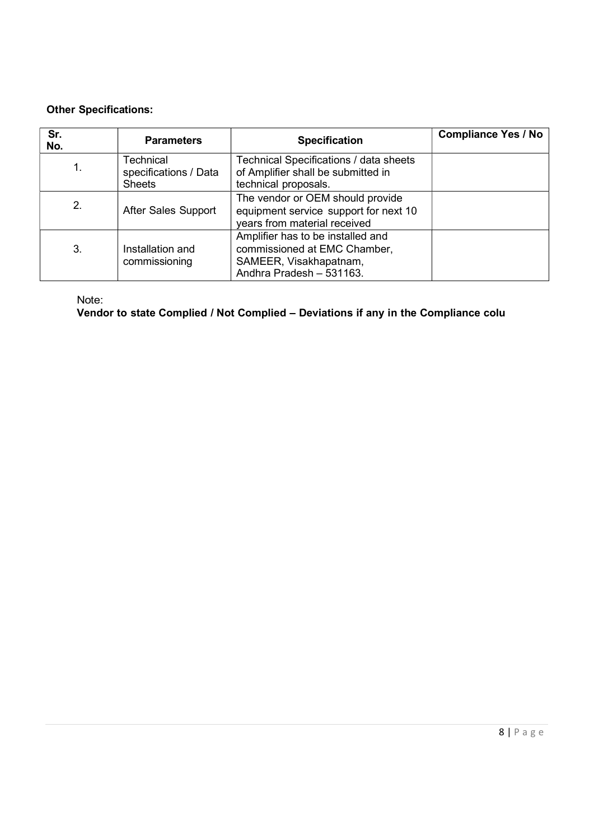## Other Specifications:

| Sr.<br>No. | <b>Parameters</b>                                   | <b>Specification</b>                                                                                                    | <b>Compliance Yes / No</b> |
|------------|-----------------------------------------------------|-------------------------------------------------------------------------------------------------------------------------|----------------------------|
|            | Technical<br>specifications / Data<br><b>Sheets</b> | Technical Specifications / data sheets<br>of Amplifier shall be submitted in<br>technical proposals.                    |                            |
| 2.         | After Sales Support                                 | The vendor or OEM should provide<br>equipment service support for next 10<br>years from material received               |                            |
| 3.         | Installation and<br>commissioning                   | Amplifier has to be installed and<br>commissioned at EMC Chamber,<br>SAMEER, Visakhapatnam,<br>Andhra Pradesh - 531163. |                            |

Note:

Vendor to state Complied / Not Complied – Deviations if any in the Compliance colu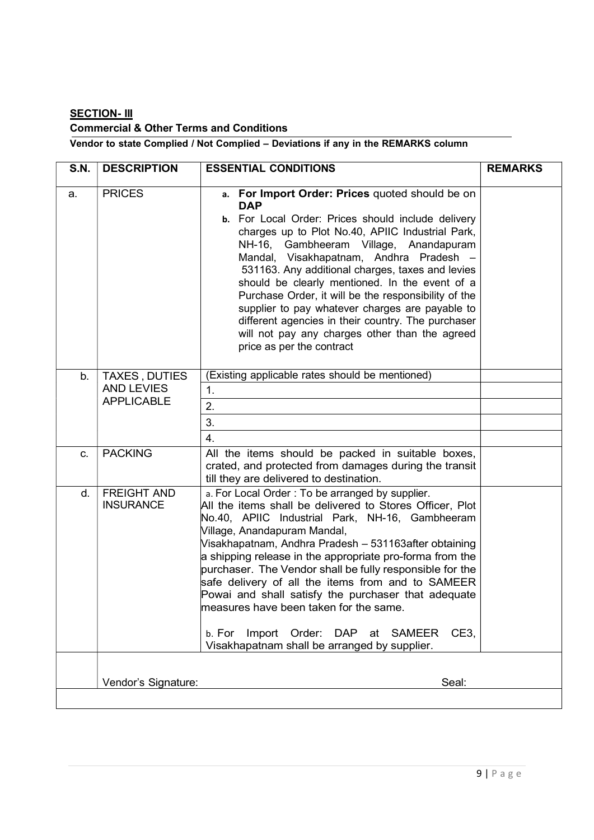# **SECTION- III** Commercial & Other Terms and Conditions

## Vendor to state Complied / Not Complied – Deviations if any in the REMARKS column

| <b>PRICES</b><br>a.    |                                                         |                                                                                                                                                                                                                                                                                                                                                                                                                                                                                                                                                                                                                                  |  |
|------------------------|---------------------------------------------------------|----------------------------------------------------------------------------------------------------------------------------------------------------------------------------------------------------------------------------------------------------------------------------------------------------------------------------------------------------------------------------------------------------------------------------------------------------------------------------------------------------------------------------------------------------------------------------------------------------------------------------------|--|
|                        |                                                         | a. For Import Order: Prices quoted should be on<br><b>DAP</b><br>b. For Local Order: Prices should include delivery<br>charges up to Plot No.40, APIIC Industrial Park,<br>NH-16, Gambheeram Village, Anandapuram<br>Mandal, Visakhapatnam, Andhra Pradesh -<br>531163. Any additional charges, taxes and levies<br>should be clearly mentioned. In the event of a<br>Purchase Order, it will be the responsibility of the<br>supplier to pay whatever charges are payable to<br>different agencies in their country. The purchaser<br>will not pay any charges other than the agreed<br>price as per the contract               |  |
| b.                     | TAXES, DUTIES<br><b>AND LEVIES</b><br><b>APPLICABLE</b> | (Existing applicable rates should be mentioned)<br>$\mathbf{1}$ .<br>2.<br>3.<br>$\overline{4}$ .                                                                                                                                                                                                                                                                                                                                                                                                                                                                                                                                |  |
| <b>PACKING</b><br>C.   |                                                         | All the items should be packed in suitable boxes,<br>crated, and protected from damages during the transit<br>till they are delivered to destination.                                                                                                                                                                                                                                                                                                                                                                                                                                                                            |  |
| d.<br><b>INSURANCE</b> | <b>FREIGHT AND</b>                                      | a. For Local Order: To be arranged by supplier.<br>All the items shall be delivered to Stores Officer, Plot<br>No.40, APIIC Industrial Park, NH-16, Gambheeram<br>Village, Anandapuram Mandal,<br>Visakhapatnam, Andhra Pradesh - 531163after obtaining<br>a shipping release in the appropriate pro-forma from the<br>purchaser. The Vendor shall be fully responsible for the<br>safe delivery of all the items from and to SAMEER<br>Powai and shall satisfy the purchaser that adequate<br>measures have been taken for the same.<br>b. For Import Order: DAP at SAMEER CE3,<br>Visakhapatnam shall be arranged by supplier. |  |
|                        | Vendor's Signature:                                     | Seal:                                                                                                                                                                                                                                                                                                                                                                                                                                                                                                                                                                                                                            |  |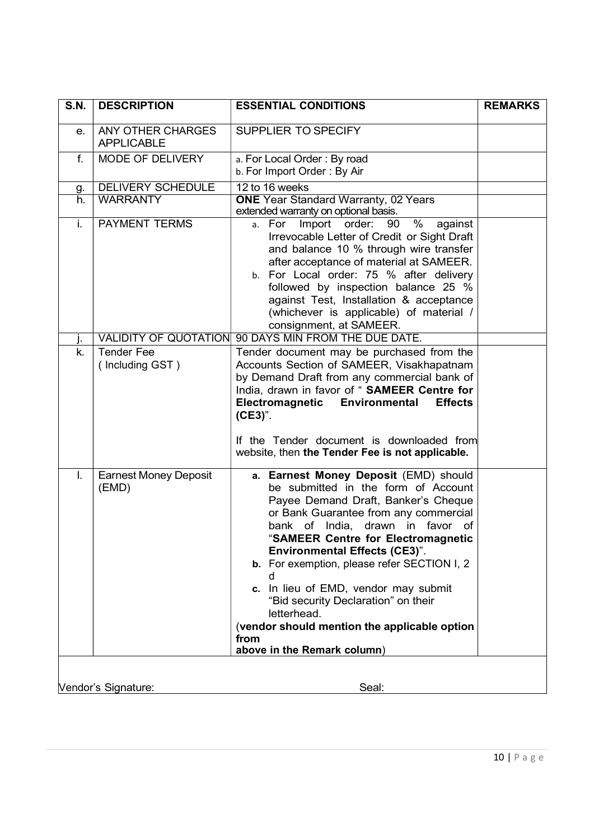| <b>S.N.</b> | <b>DESCRIPTION</b>                     | <b>ESSENTIAL CONDITIONS</b>                                                                                                                                                                                                                                                                                                                                                                                                                                                                                                | <b>REMARKS</b> |
|-------------|----------------------------------------|----------------------------------------------------------------------------------------------------------------------------------------------------------------------------------------------------------------------------------------------------------------------------------------------------------------------------------------------------------------------------------------------------------------------------------------------------------------------------------------------------------------------------|----------------|
| е.          | ANY OTHER CHARGES<br><b>APPLICABLE</b> | SUPPLIER TO SPECIFY                                                                                                                                                                                                                                                                                                                                                                                                                                                                                                        |                |
| f.          | MODE OF DELIVERY                       | a. For Local Order: By road<br>b. For Import Order: By Air                                                                                                                                                                                                                                                                                                                                                                                                                                                                 |                |
| g.          | <b>DELIVERY SCHEDULE</b>               | 12 to 16 weeks                                                                                                                                                                                                                                                                                                                                                                                                                                                                                                             |                |
| h.<br>i.    | <b>WARRANTY</b>                        | <b>ONE</b> Year Standard Warranty, 02 Years<br>extended warranty on optional basis.                                                                                                                                                                                                                                                                                                                                                                                                                                        |                |
|             | <b>PAYMENT TERMS</b>                   | a. For Import order: 90<br>% against<br>Irrevocable Letter of Credit or Sight Draft<br>and balance 10 % through wire transfer<br>after acceptance of material at SAMEER.<br>b. For Local order: 75 % after delivery<br>followed by inspection balance 25 %<br>against Test, Installation & acceptance<br>(whichever is applicable) of material /<br>consignment, at SAMEER.                                                                                                                                                |                |
| Ŀ           | <b>VALIDITY OF QUOTATION</b>           | 90 DAYS MIN FROM THE DUE DATE.                                                                                                                                                                                                                                                                                                                                                                                                                                                                                             |                |
| k.          | <b>Tender Fee</b><br>(Including GST)   | Tender document may be purchased from the<br>Accounts Section of SAMEER, Visakhapatnam<br>by Demand Draft from any commercial bank of<br>India, drawn in favor of "SAMEER Centre for<br>Electromagnetic<br>Environmental<br><b>Effects</b><br>(CE3)".                                                                                                                                                                                                                                                                      |                |
|             |                                        | If the Tender document is downloaded from<br>website, then the Tender Fee is not applicable.                                                                                                                                                                                                                                                                                                                                                                                                                               |                |
| I.          | <b>Earnest Money Deposit</b><br>(EMD)  | a. Earnest Money Deposit (EMD) should<br>be submitted in the form of Account<br>Payee Demand Draft, Banker's Cheque<br>or Bank Guarantee from any commercial<br>bank of India, drawn in favor of<br>"SAMEER Centre for Electromagnetic<br><b>Environmental Effects (CE3)".</b><br>b. For exemption, please refer SECTION I, 2<br>d<br>In lieu of EMD, vendor may submit<br>c.<br>"Bid security Declaration" on their<br>letterhead.<br>(vendor should mention the applicable option<br>from<br>above in the Remark column) |                |
|             | Vendor's Signature:                    | Seal:                                                                                                                                                                                                                                                                                                                                                                                                                                                                                                                      |                |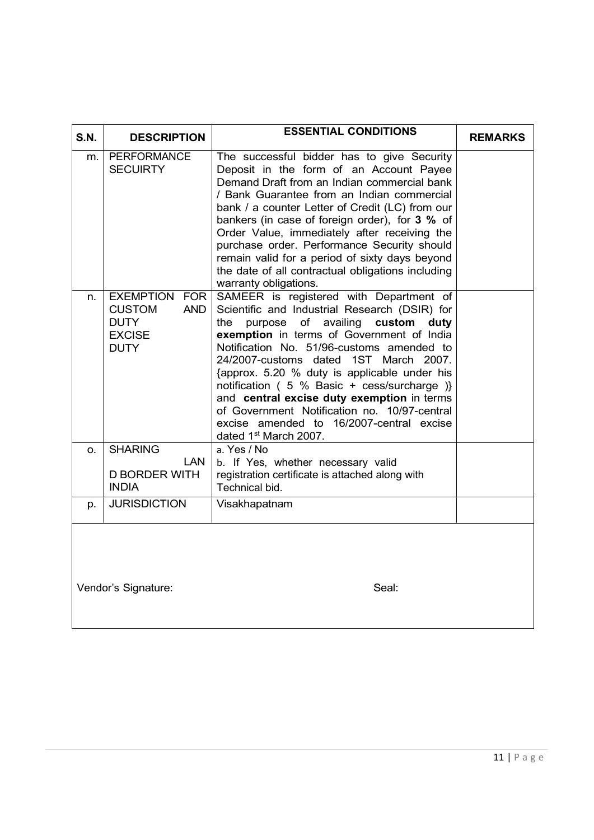| <b>S.N.</b> | <b>DESCRIPTION</b>                    | <b>ESSENTIAL CONDITIONS</b>                                                           | <b>REMARKS</b> |
|-------------|---------------------------------------|---------------------------------------------------------------------------------------|----------------|
|             |                                       |                                                                                       |                |
| m.          | <b>PERFORMANCE</b><br><b>SECUIRTY</b> | The successful bidder has to give Security<br>Deposit in the form of an Account Payee |                |
|             |                                       | Demand Draft from an Indian commercial bank                                           |                |
|             |                                       | / Bank Guarantee from an Indian commercial                                            |                |
|             |                                       | bank / a counter Letter of Credit (LC) from our                                       |                |
|             |                                       | bankers (in case of foreign order), for 3 % of                                        |                |
|             |                                       | Order Value, immediately after receiving the                                          |                |
|             |                                       | purchase order. Performance Security should                                           |                |
|             |                                       | remain valid for a period of sixty days beyond                                        |                |
|             |                                       | the date of all contractual obligations including                                     |                |
|             |                                       | warranty obligations.                                                                 |                |
| n.          | <b>EXEMPTION</b><br>FOR               | SAMEER is registered with Department of                                               |                |
|             | <b>CUSTOM</b><br><b>AND</b>           | Scientific and Industrial Research (DSIR) for                                         |                |
|             | <b>DUTY</b>                           | the purpose of availing custom duty                                                   |                |
|             | <b>EXCISE</b>                         | exemption in terms of Government of India                                             |                |
|             | <b>DUTY</b>                           | Notification No. 51/96-customs amended to                                             |                |
|             |                                       | 24/2007-customs dated 1ST March 2007.                                                 |                |
|             |                                       | {approx. 5.20 % duty is applicable under his                                          |                |
|             |                                       | notification ( 5 % Basic + cess/surcharge )}                                          |                |
|             |                                       | and central excise duty exemption in terms                                            |                |
|             |                                       | of Government Notification no. 10/97-central                                          |                |
|             |                                       | excise amended to 16/2007-central excise                                              |                |
|             |                                       | dated 1 <sup>st</sup> March 2007.                                                     |                |
| О.          | <b>SHARING</b>                        | a. Yes / No                                                                           |                |
|             | <b>LAN</b>                            | b. If Yes, whether necessary valid                                                    |                |
|             | <b>D BORDER WITH</b>                  | registration certificate is attached along with                                       |                |
|             | <b>INDIA</b>                          | Technical bid.                                                                        |                |
| p.          | <b>JURISDICTION</b>                   | Visakhapatnam                                                                         |                |
|             |                                       |                                                                                       |                |
|             |                                       |                                                                                       |                |
|             |                                       |                                                                                       |                |
|             |                                       |                                                                                       |                |
|             |                                       |                                                                                       |                |
|             | Vendor's Signature:                   | Seal:                                                                                 |                |
|             |                                       |                                                                                       |                |
|             |                                       |                                                                                       |                |
|             |                                       |                                                                                       |                |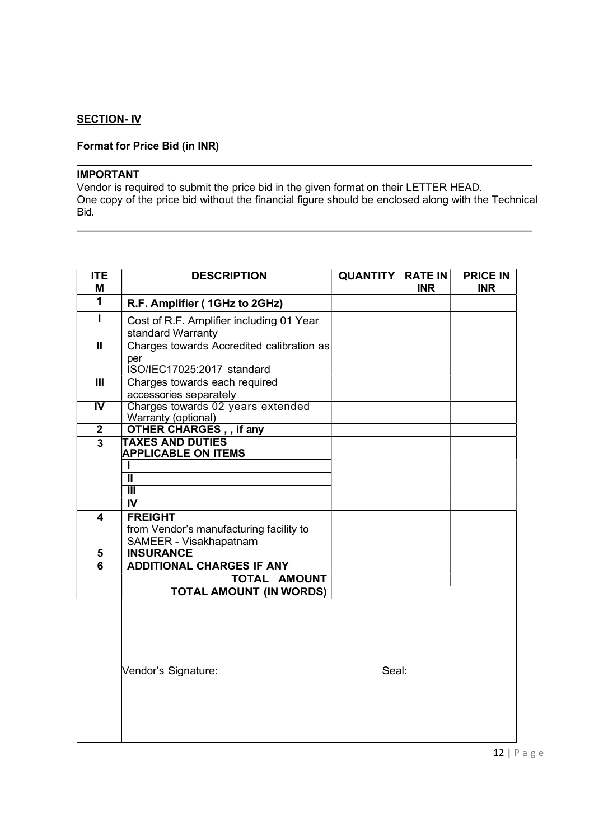## **SECTION- IV**

## Format for Price Bid (in INR)

#### IMPORTANT

Vendor is required to submit the price bid in the given format on their LETTER HEAD. One copy of the price bid without the financial figure should be enclosed along with the Technical Bid.

| <b>ITE</b><br>M         | <b>DESCRIPTION</b>                                                             | <b>QUANTITY</b> | <b>RATE IN</b><br><b>INR</b> | <b>PRICE IN</b><br><b>INR</b> |
|-------------------------|--------------------------------------------------------------------------------|-----------------|------------------------------|-------------------------------|
| $\mathbf{1}$            | R.F. Amplifier (1GHz to 2GHz)                                                  |                 |                              |                               |
|                         | Cost of R.F. Amplifier including 01 Year<br>standard Warranty                  |                 |                              |                               |
| $\mathbf{I}$            | Charges towards Accredited calibration as<br>per<br>ISO/IEC17025:2017 standard |                 |                              |                               |
| $\mathbf{III}$          | Charges towards each required<br>accessories separately                        |                 |                              |                               |
| $\overline{N}$          | Charges towards 02 years extended<br><b>Warranty (optional)</b>                |                 |                              |                               |
| $\overline{2}$          | OTHER CHARGES, , if any                                                        |                 |                              |                               |
| $\overline{3}$          | <b>TAXES AND DUTIES</b><br><b>APPLICABLE ON ITEMS</b>                          |                 |                              |                               |
|                         | $\overline{\mathsf{I}}$                                                        |                 |                              |                               |
|                         | $\overline{\mathsf{I\!I\!I}}$                                                  |                 |                              |                               |
|                         | $\overline{\mathsf{N}}$                                                        |                 |                              |                               |
| $\overline{\mathbf{4}}$ | <b>FREIGHT</b>                                                                 |                 |                              |                               |
|                         | from Vendor's manufacturing facility to                                        |                 |                              |                               |
|                         | SAMEER - Visakhapatnam                                                         |                 |                              |                               |
| $\overline{\mathbf{5}}$ | <b>INSURANCE</b>                                                               |                 |                              |                               |
| $\overline{6}$          | <b>ADDITIONAL CHARGES IF ANY</b>                                               |                 |                              |                               |
|                         | <b>TOTAL AMOUNT</b>                                                            |                 |                              |                               |
|                         | <b>TOTAL AMOUNT (IN WORDS)</b>                                                 |                 |                              |                               |
|                         | Vendor's Signature:                                                            | Seal:           |                              |                               |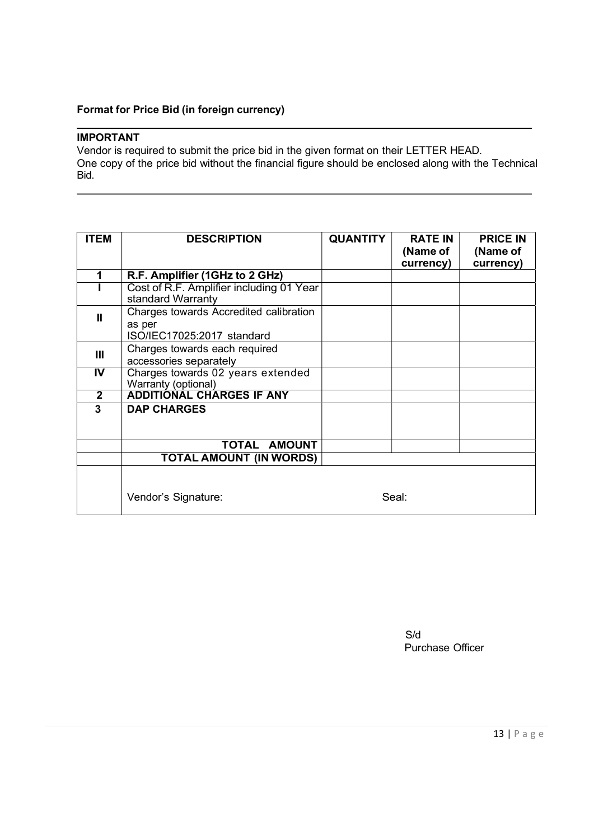## Format for Price Bid (in foreign currency)

## IMPORTANT

Vendor is required to submit the price bid in the given format on their LETTER HEAD. One copy of the price bid without the financial figure should be enclosed along with the Technical Bid.

| <b>ITEM</b>             | <b>DESCRIPTION</b>                                            | <b>QUANTITY</b> | <b>RATE IN</b>        | <b>PRICE IN</b>       |
|-------------------------|---------------------------------------------------------------|-----------------|-----------------------|-----------------------|
|                         |                                                               |                 | (Name of<br>currency) | (Name of<br>currency) |
| 1                       | R.F. Amplifier (1GHz to 2 GHz)                                |                 |                       |                       |
|                         | Cost of R.F. Amplifier including 01 Year<br>standard Warranty |                 |                       |                       |
| $\mathbf{u}$            | Charges towards Accredited calibration                        |                 |                       |                       |
|                         | as per<br>ISO/IEC17025:2017 standard                          |                 |                       |                       |
| $\mathbf{III}$          | Charges towards each required                                 |                 |                       |                       |
|                         | accessories separately                                        |                 |                       |                       |
| $\overline{\mathsf{N}}$ | Charges towards 02 years extended<br>Warranty (optional)      |                 |                       |                       |
| $\mathbf{2}$            | <b>ADDITIONAL CHARGES IF ANY</b>                              |                 |                       |                       |
| 3                       | <b>DAP CHARGES</b>                                            |                 |                       |                       |
|                         | TOTAL AMOUNT                                                  |                 |                       |                       |
|                         | <b>TOTAL AMOUNT (IN WORDS)</b>                                |                 |                       |                       |
|                         |                                                               |                 |                       |                       |
|                         | Vendor's Signature:                                           |                 | Seal:                 |                       |

S/d Purchase Officer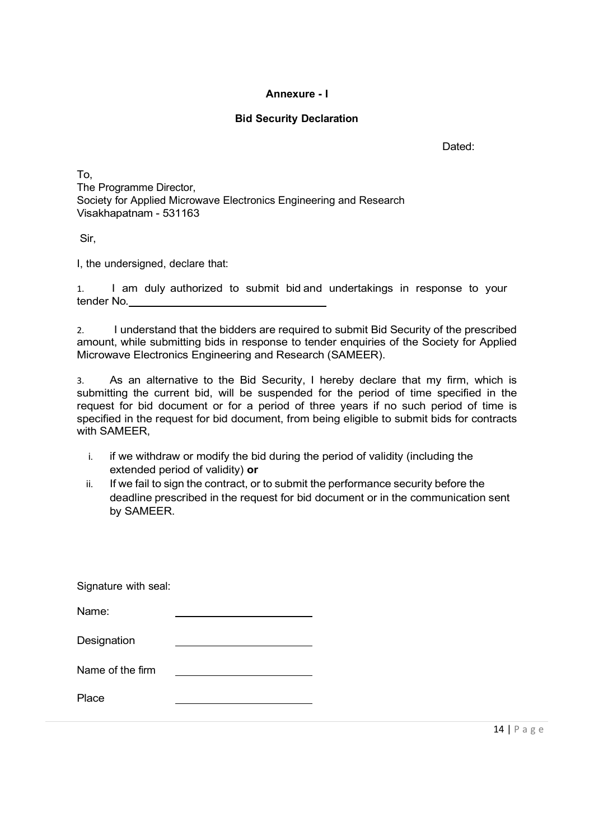### Annexure - I

## Bid Security Declaration

Dated:

To, The Programme Director, Society for Applied Microwave Electronics Engineering and Research Visakhapatnam - 531163

Sir,

I, the undersigned, declare that:

1. I am duly authorized to submit bid and undertakings in response to your tender No.

2. I understand that the bidders are required to submit Bid Security of the prescribed amount, while submitting bids in response to tender enquiries of the Society for Applied Microwave Electronics Engineering and Research (SAMEER).

3. As an alternative to the Bid Security, I hereby declare that my firm, which is submitting the current bid, will be suspended for the period of time specified in the request for bid document or for a period of three years if no such period of time is specified in the request for bid document, from being eligible to submit bids for contracts with SAMEER,

- i. if we withdraw or modify the bid during the period of validity (including the extended period of validity) or
- ii. If we fail to sign the contract, or to submit the performance security before the deadline prescribed in the request for bid document or in the communication sent by SAMEER.

| Signature with seal: |  |
|----------------------|--|
| Name:                |  |
| Designation          |  |
| Name of the firm     |  |
| Place                |  |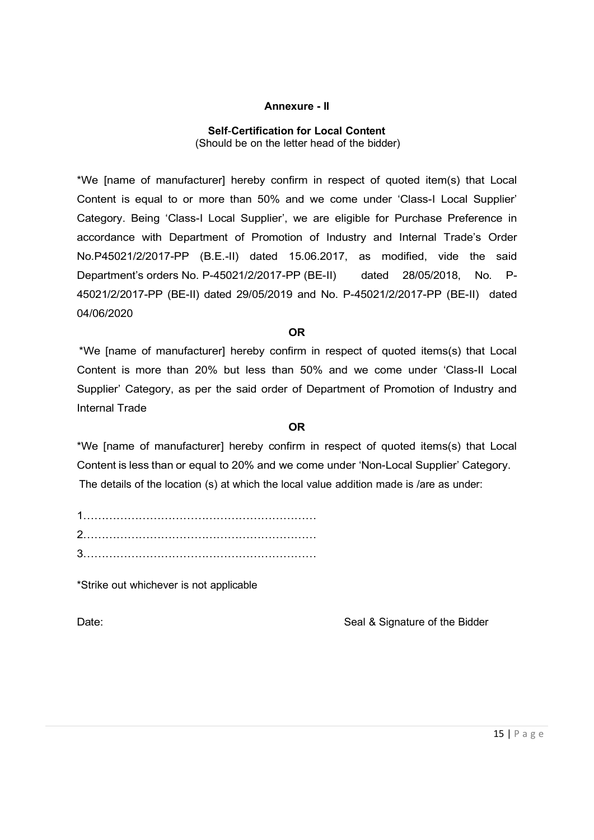#### Annexure - II

## Self-Certification for Local Content (Should be on the letter head of the bidder)

\*We [name of manufacturer] hereby confirm in respect of quoted item(s) that Local Content is equal to or more than 50% and we come under 'Class-I Local Supplier' Category. Being 'Class-I Local Supplier', we are eligible for Purchase Preference in accordance with Department of Promotion of Industry and Internal Trade's Order No.P45021/2/2017-PP (B.E.-II) dated 15.06.2017, as modified, vide the said Department's orders No. P-45021/2/2017-PP (BE-II) dated 28/05/2018, No. P-45021/2/2017-PP (BE-II) dated 29/05/2019 and No. P-45021/2/2017-PP (BE-II) dated 04/06/2020

## OR **OR** Service and the service of the service of the service of the service of the service of the service of the service of the service of the service of the service of the service of the service of the service of the ser

\*We [name of manufacturer] hereby confirm in respect of quoted items(s) that Local Content is more than 20% but less than 50% and we come under 'Class-II Local Supplier' Category, as per the said order of Department of Promotion of Industry and Internal Trade

## OR **OR** Service and the service of the service of the service of the service of the service of the service of the service of the service of the service of the service of the service of the service of the service of the ser

\*We [name of manufacturer] hereby confirm in respect of quoted items(s) that Local Content is less than or equal to 20% and we come under 'Non-Local Supplier' Category. The details of the location (s) at which the local value addition made is /are as under:

| ⌒ |
|---|
| ⌒ |

\*Strike out whichever is not applicable

Date: Case of the Bidder Seal & Signature of the Bidder